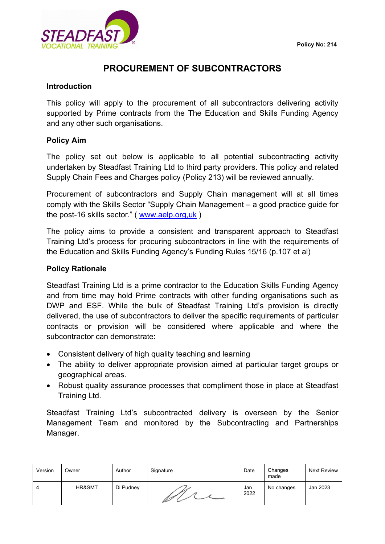

# **PROCUREMENT OF SUBCONTRACTORS**

#### **Introduction**

This policy will apply to the procurement of all subcontractors delivering activity supported by Prime contracts from the The Education and Skills Funding Agency and any other such organisations.

#### **Policy Aim**

The policy set out below is applicable to all potential subcontracting activity undertaken by Steadfast Training Ltd to third party providers. This policy and related Supply Chain Fees and Charges policy (Policy 213) will be reviewed annually.

Procurement of subcontractors and Supply Chain management will at all times comply with the Skills Sector "Supply Chain Management – a good practice guide for the post-16 skills sector." ( [www.aelp.org,uk](http://www.aelp.org,uk/) )

The policy aims to provide a consistent and transparent approach to Steadfast Training Ltd's process for procuring subcontractors in line with the requirements of the Education and Skills Funding Agency's Funding Rules 15/16 (p.107 et al)

#### **Policy Rationale**

Steadfast Training Ltd is a prime contractor to the Education Skills Funding Agency and from time may hold Prime contracts with other funding organisations such as DWP and ESF. While the bulk of Steadfast Training Ltd's provision is directly delivered, the use of subcontractors to deliver the specific requirements of particular contracts or provision will be considered where applicable and where the subcontractor can demonstrate:

- Consistent delivery of high quality teaching and learning
- The ability to deliver appropriate provision aimed at particular target groups or geographical areas.
- Robust quality assurance processes that compliment those in place at Steadfast Training Ltd.

Steadfast Training Ltd's subcontracted delivery is overseen by the Senior Management Team and monitored by the Subcontracting and Partnerships Manager.

| Version | Owner  | Author    | Signature | Date        | Changes<br>made | Next Review |
|---------|--------|-----------|-----------|-------------|-----------------|-------------|
| 4       | HR&SMT | Di Pudney | Ø         | Jan<br>2022 | No changes      | Jan 2023    |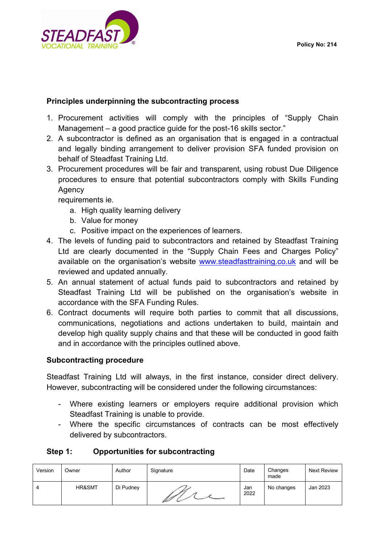

## **Principles underpinning the subcontracting process**

- 1. Procurement activities will comply with the principles of "Supply Chain Management – a good practice guide for the post-16 skills sector."
- 2. A subcontractor is defined as an organisation that is engaged in a contractual and legally binding arrangement to deliver provision SFA funded provision on behalf of Steadfast Training Ltd.
- 3. Procurement procedures will be fair and transparent, using robust Due Diligence procedures to ensure that potential subcontractors comply with Skills Funding **Agency**

requirements ie.

- a. High quality learning delivery
- b. Value for money
- c. Positive impact on the experiences of learners.
- 4. The levels of funding paid to subcontractors and retained by Steadfast Training Ltd are clearly documented in the "Supply Chain Fees and Charges Policy" available on the organisation's website [www.steadfasttraining.co.uk](http://www.steadfasttraining.co.uk/) and will be reviewed and updated annually.
- 5. An annual statement of actual funds paid to subcontractors and retained by Steadfast Training Ltd will be published on the organisation's website in accordance with the SFA Funding Rules.
- 6. Contract documents will require both parties to commit that all discussions, communications, negotiations and actions undertaken to build, maintain and develop high quality supply chains and that these will be conducted in good faith and in accordance with the principles outlined above.

## **Subcontracting procedure**

Steadfast Training Ltd will always, in the first instance, consider direct delivery. However, subcontracting will be considered under the following circumstances:

- Where existing learners or employers require additional provision which Steadfast Training is unable to provide.
- Where the specific circumstances of contracts can be most effectively delivered by subcontractors.

## **Step 1: Opportunities for subcontracting**

| Version | Owner  | Author    | Signature | Date        | Changes<br>made | Next Review |
|---------|--------|-----------|-----------|-------------|-----------------|-------------|
| 4       | HR&SMT | Di Pudney | Ø         | Jan<br>2022 | No changes      | Jan 2023    |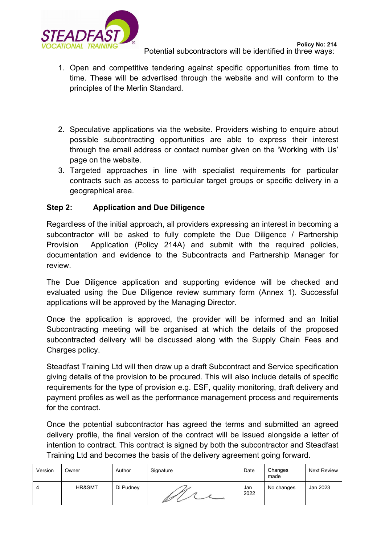

- 1. Open and competitive tendering against specific opportunities from time to time. These will be advertised through the website and will conform to the principles of the Merlin Standard.
- 2. Speculative applications via the website. Providers wishing to enquire about possible subcontracting opportunities are able to express their interest through the email address or contact number given on the 'Working with Us' page on the website.
- 3. Targeted approaches in line with specialist requirements for particular contracts such as access to particular target groups or specific delivery in a geographical area.

## **Step 2: Application and Due Diligence**

Regardless of the initial approach, all providers expressing an interest in becoming a subcontractor will be asked to fully complete the Due Diligence / Partnership Provision Application (Policy 214A) and submit with the required policies, documentation and evidence to the Subcontracts and Partnership Manager for review.

The Due Diligence application and supporting evidence will be checked and evaluated using the Due Diligence review summary form (Annex 1). Successful applications will be approved by the Managing Director.

Once the application is approved, the provider will be informed and an Initial Subcontracting meeting will be organised at which the details of the proposed subcontracted delivery will be discussed along with the Supply Chain Fees and Charges policy.

Steadfast Training Ltd will then draw up a draft Subcontract and Service specification giving details of the provision to be procured. This will also include details of specific requirements for the type of provision e.g. ESF, quality monitoring, draft delivery and payment profiles as well as the performance management process and requirements for the contract.

Once the potential subcontractor has agreed the terms and submitted an agreed delivery profile, the final version of the contract will be issued alongside a letter of intention to contract. This contract is signed by both the subcontractor and Steadfast Training Ltd and becomes the basis of the delivery agreement going forward.

| Version | Owner  | Author    | Signature | Date        | Changes<br>made | Next Review |
|---------|--------|-----------|-----------|-------------|-----------------|-------------|
| 4       | HR&SMT | Di Pudney | Ø         | Jan<br>2022 | No changes      | Jan 2023    |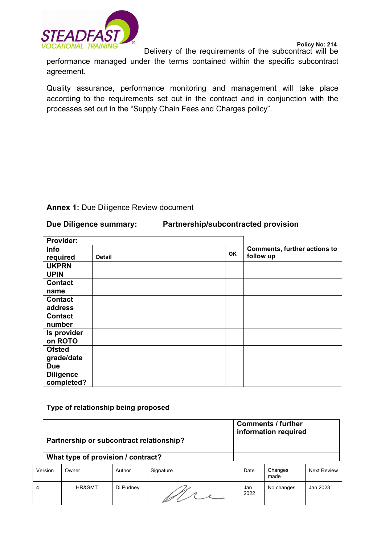

**Policy No: 214**

Delivery of the requirements of the subcontract will be

performance managed under the terms contained within the specific subcontract agreement.

Quality assurance, performance monitoring and management will take place according to the requirements set out in the contract and in conjunction with the processes set out in the "Supply Chain Fees and Charges policy".

## **Annex 1:** Due Diligence Review document

#### **Due Diligence summary: Partnership/subcontracted provision**

| Provider:        |               |           |                                     |
|------------------|---------------|-----------|-------------------------------------|
| <b>Info</b>      |               |           | <b>Comments, further actions to</b> |
| required         | <b>Detail</b> | <b>OK</b> | follow up                           |
| <b>UKPRN</b>     |               |           |                                     |
| <b>UPIN</b>      |               |           |                                     |
| <b>Contact</b>   |               |           |                                     |
| name             |               |           |                                     |
| <b>Contact</b>   |               |           |                                     |
| address          |               |           |                                     |
| <b>Contact</b>   |               |           |                                     |
| number           |               |           |                                     |
| Is provider      |               |           |                                     |
| on ROTO          |               |           |                                     |
| <b>Ofsted</b>    |               |           |                                     |
| grade/date       |               |           |                                     |
| <b>Due</b>       |               |           |                                     |
| <b>Diligence</b> |               |           |                                     |
| completed?       |               |           |                                     |

#### **Type of relationship being proposed**

|                | Partnership or subcontract relationship?<br>What type of provision / contract? |           |           |             | <b>Comments / further</b><br>information required |                    |
|----------------|--------------------------------------------------------------------------------|-----------|-----------|-------------|---------------------------------------------------|--------------------|
|                |                                                                                |           |           |             |                                                   |                    |
| Version        | Owner                                                                          | Author    | Signature | Date        | Changes<br>made                                   | <b>Next Review</b> |
| $\overline{4}$ | HR&SMT                                                                         | Di Pudney |           | Jan<br>2022 | No changes                                        | Jan 2023           |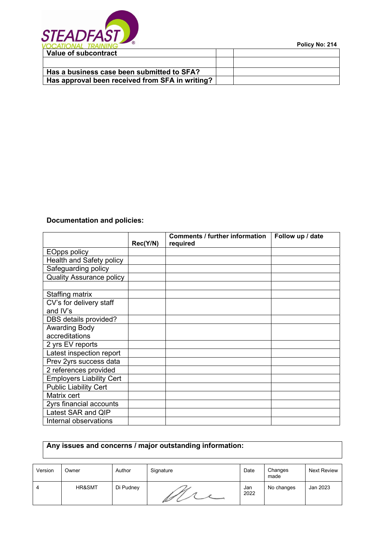

**Policy No: 214**

## **Documentation and policies:**

|                                 |          | <b>Comments / further information</b> | Follow up / date |
|---------------------------------|----------|---------------------------------------|------------------|
|                                 | Rec(Y/N) | required                              |                  |
| <b>EOpps policy</b>             |          |                                       |                  |
| Health and Safety policy        |          |                                       |                  |
| Safeguarding policy             |          |                                       |                  |
| <b>Quality Assurance policy</b> |          |                                       |                  |
|                                 |          |                                       |                  |
| Staffing matrix                 |          |                                       |                  |
| CV's for delivery staff         |          |                                       |                  |
| and IV's                        |          |                                       |                  |
| DBS details provided?           |          |                                       |                  |
| <b>Awarding Body</b>            |          |                                       |                  |
| accreditations                  |          |                                       |                  |
| 2 yrs EV reports                |          |                                       |                  |
| Latest inspection report        |          |                                       |                  |
| Prev 2yrs success data          |          |                                       |                  |
| 2 references provided           |          |                                       |                  |
| <b>Employers Liability Cert</b> |          |                                       |                  |
| <b>Public Liability Cert</b>    |          |                                       |                  |
| Matrix cert                     |          |                                       |                  |
| 2yrs financial accounts         |          |                                       |                  |
| Latest SAR and QIP              |          |                                       |                  |
| Internal observations           |          |                                       |                  |

# **Any issues and concerns / major outstanding information:**

| Version | Owner  | Author    | Signature | Date        | Changes<br>made | Next Review |
|---------|--------|-----------|-----------|-------------|-----------------|-------------|
| 4       | HR&SMT | Di Pudney |           | Jan<br>2022 | No changes      | Jan 2023    |